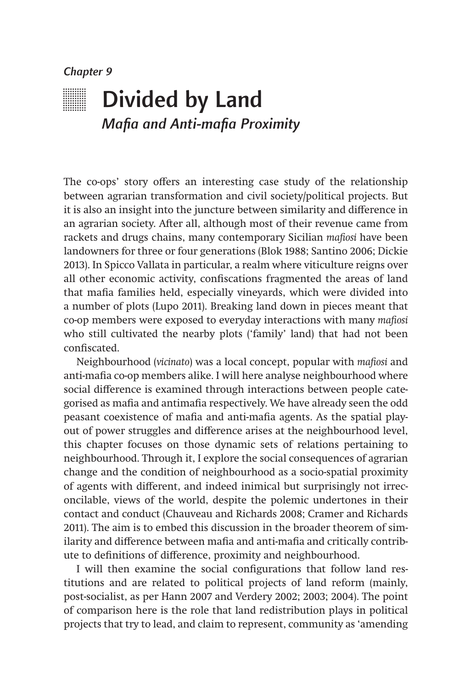#### *Chapter 9*

# Divided by Land *Mafia and Anti-mafia Proximity*

The co-ops' story offers an interesting case study of the relationship between agrarian transformation and civil society/political projects. But it is also an insight into the juncture between similarity and difference in an agrarian society. After all, although most of their revenue came from rackets and drugs chains, many contemporary Sicilian *mafiosi* have been landowners for three or four generations (Blok 1988; Santino 2006; Dickie 2013). In Spicco Vallata in particular, a realm where viticulture reigns over all other economic activity, confiscations fragmented the areas of land that mafia families held, especially vineyards, which were divided into a number of plots (Lupo 2011). Breaking land down in pieces meant that co-op members were exposed to everyday interactions with many *mafiosi*  who still cultivated the nearby plots ('family' land) that had not been confiscated.

Neighbourhood (*vicinato*) was a local concept, popular with *mafiosi* and anti-mafia co-op members alike. I will here analyse neighbourhood where social difference is examined through interactions between people categorised as mafia and antimafia respectively. We have already seen the odd peasant coexistence of mafia and anti-mafia agents. As the spatial playout of power struggles and difference arises at the neighbourhood level, this chapter focuses on those dynamic sets of relations pertaining to neighbourhood. Through it, I explore the social consequences of agrarian change and the condition of neighbourhood as a socio-spatial proximity of agents with different, and indeed inimical but surprisingly not irreconcilable, views of the world, despite the polemic undertones in their contact and conduct (Chauveau and Richards 2008; Cramer and Richards 2011). The aim is to embed this discussion in the broader theorem of similarity and difference between mafia and anti-mafia and critically contribute to definitions of difference, proximity and neighbourhood.

I will then examine the social configurations that follow land restitutions and are related to political projects of land reform (mainly, post-socialist, as per Hann 2007 and Verdery 2002; 2003; 2004). The point of comparison here is the role that land redistribution plays in political projects that try to lead, and claim to represent, community as 'amending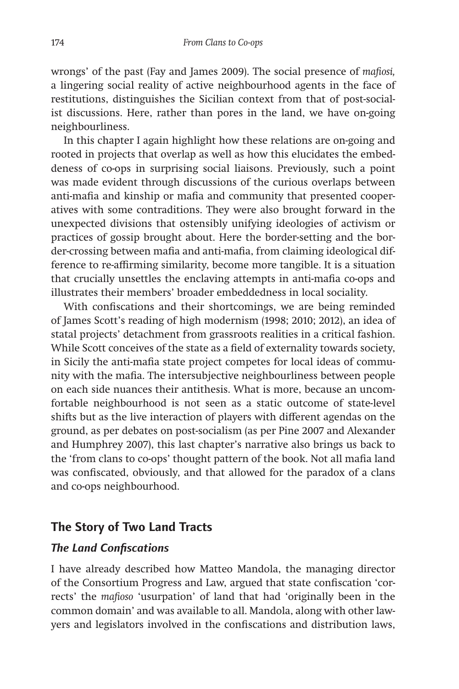wrongs' of the past (Fay and James 2009). The social presence of *mafiosi,*  a lingering social reality of active neighbourhood agents in the face of restitutions, distinguishes the Sicilian context from that of post-socialist discussions. Here, rather than pores in the land, we have on-going neighbourliness.

In this chapter I again highlight how these relations are on-going and rooted in projects that overlap as well as how this elucidates the embeddeness of co-ops in surprising social liaisons. Previously, such a point was made evident through discussions of the curious overlaps between anti-mafia and kinship or mafia and community that presented cooperatives with some contraditions. They were also brought forward in the unexpected divisions that ostensibly unifying ideologies of activism or practices of gossip brought about. Here the border-setting and the border-crossing between mafia and anti-mafia, from claiming ideological difference to re-affirming similarity, become more tangible. It is a situation that crucially unsettles the enclaving attempts in anti-mafia co-ops and illustrates their members' broader embeddedness in local sociality.

With confiscations and their shortcomings, we are being reminded of James Scott's reading of high modernism (1998; 2010; 2012), an idea of statal projects' detachment from grassroots realities in a critical fashion. While Scott conceives of the state as a field of externality towards society, in Sicily the anti-mafia state project competes for local ideas of community with the mafia. The intersubjective neighbourliness between people on each side nuances their antithesis. What is more, because an uncomfortable neighbourhood is not seen as a static outcome of state-level shifts but as the live interaction of players with different agendas on the ground, as per debates on post-socialism (as per Pine 2007 and Alexander and Humphrey 2007), this last chapter's narrative also brings us back to the 'from clans to co-ops' thought pattern of the book. Not all mafia land was confiscated, obviously, and that allowed for the paradox of a clans and co-ops neighbourhood.

## **The Story of Two Land Tracts**

#### *The Land Confiscations*

I have already described how Matteo Mandola, the managing director of the Consortium Progress and Law, argued that state confiscation 'corrects' the *mafioso* 'usurpation' of land that had 'originally been in the common domain' and was available to all. Mandola, along with other lawyers and legislators involved in the confiscations and distribution laws,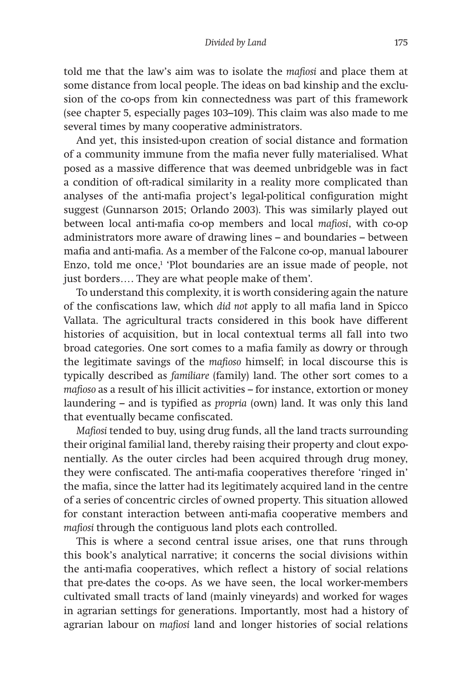told me that the law's aim was to isolate the *mafiosi* and place them at some distance from local people. The ideas on bad kinship and the exclusion of the co-ops from kin connectedness was part of this framework (see chapter 5, especially pages 103–109). This claim was also made to me several times by many cooperative administrators.

And yet, this insisted-upon creation of social distance and formation of a community immune from the mafia never fully materialised. What posed as a massive difference that was deemed unbridgeble was in fact a condition of oft-radical similarity in a reality more complicated than analyses of the anti-mafia project's legal-political configuration might suggest (Gunnarson 2015; Orlando 2003). This was similarly played out between local anti-mafia co-op members and local *mafiosi*, with co-op administrators more aware of drawing lines – and boundaries – between mafia and anti-mafia. As a member of the Falcone co-op, manual labourer Enzo, told me once,<sup>1</sup> 'Plot boundaries are an issue made of people, not just borders…. They are what people make of them'.

To understand this complexity, it is worth considering again the nature of the confiscations law, which *did not* apply to all mafia land in Spicco Vallata. The agricultural tracts considered in this book have different histories of acquisition, but in local contextual terms all fall into two broad categories. One sort comes to a mafia family as dowry or through the legitimate savings of the *mafioso* himself; in local discourse this is typically described as *familiare* (family) land. The other sort comes to a *mafioso* as a result of his illicit activities – for instance, extortion or money laundering – and is typified as *propria* (own) land. It was only this land that eventually became confiscated.

*Mafiosi* tended to buy, using drug funds, all the land tracts surrounding their original familial land, thereby raising their property and clout exponentially. As the outer circles had been acquired through drug money, they were confiscated. The anti-mafia cooperatives therefore 'ringed in' the mafia, since the latter had its legitimately acquired land in the centre of a series of concentric circles of owned property. This situation allowed for constant interaction between anti-mafia cooperative members and *mafiosi* through the contiguous land plots each controlled.

This is where a second central issue arises, one that runs through this book's analytical narrative; it concerns the social divisions within the anti-mafia cooperatives, which reflect a history of social relations that pre-dates the co-ops. As we have seen, the local worker-members cultivated small tracts of land (mainly vineyards) and worked for wages in agrarian settings for generations. Importantly, most had a history of agrarian labour on *mafiosi* land and longer histories of social relations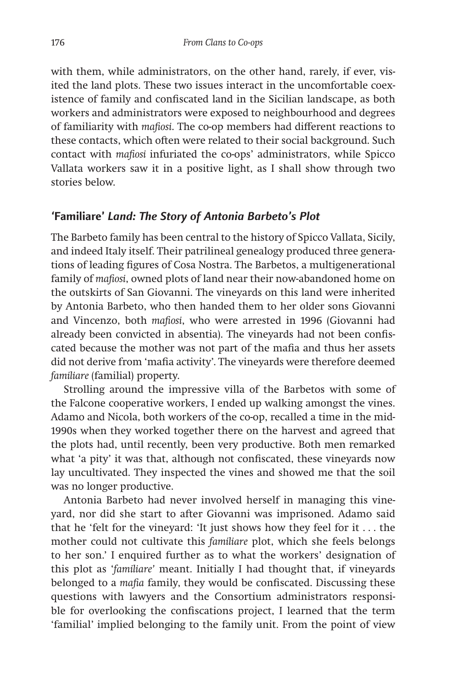with them, while administrators, on the other hand, rarely, if ever, visited the land plots. These two issues interact in the uncomfortable coexistence of family and confiscated land in the Sicilian landscape, as both workers and administrators were exposed to neighbourhood and degrees of familiarity with *mafiosi*. The co-op members had different reactions to these contacts, which often were related to their social background. Such contact with *mafiosi* infuriated the co-ops' administrators, while Spicco Vallata workers saw it in a positive light, as I shall show through two stories below.

## *'***Familiare'** *Land: The Story of Antonia Barbeto's Plot*

The Barbeto family has been central to the history of Spicco Vallata, Sicily, and indeed Italy itself. Their patrilineal genealogy produced three generations of leading figures of Cosa Nostra. The Barbetos, a multigenerational family of *mafiosi*, owned plots of land near their now-abandoned home on the outskirts of San Giovanni. The vineyards on this land were inherited by Antonia Barbeto, who then handed them to her older sons Giovanni and Vincenzo, both *mafiosi*, who were arrested in 1996 (Giovanni had already been convicted in absentia). The vineyards had not been confiscated because the mother was not part of the mafia and thus her assets did not derive from 'mafia activity'. The vineyards were therefore deemed *familiare* (familial) property.

Strolling around the impressive villa of the Barbetos with some of the Falcone cooperative workers, I ended up walking amongst the vines. Adamo and Nicola, both workers of the co-op, recalled a time in the mid-1990s when they worked together there on the harvest and agreed that the plots had, until recently, been very productive. Both men remarked what 'a pity' it was that, although not confiscated, these vineyards now lay uncultivated. They inspected the vines and showed me that the soil was no longer productive.

Antonia Barbeto had never involved herself in managing this vineyard, nor did she start to after Giovanni was imprisoned. Adamo said that he 'felt for the vineyard: 'It just shows how they feel for it . . . the mother could not cultivate this *familiare* plot, which she feels belongs to her son.' I enquired further as to what the workers' designation of this plot as '*familiare'* meant. Initially I had thought that, if vineyards belonged to a *mafia* family, they would be confiscated. Discussing these questions with lawyers and the Consortium administrators responsible for overlooking the confiscations project, I learned that the term 'familial' implied belonging to the family unit. From the point of view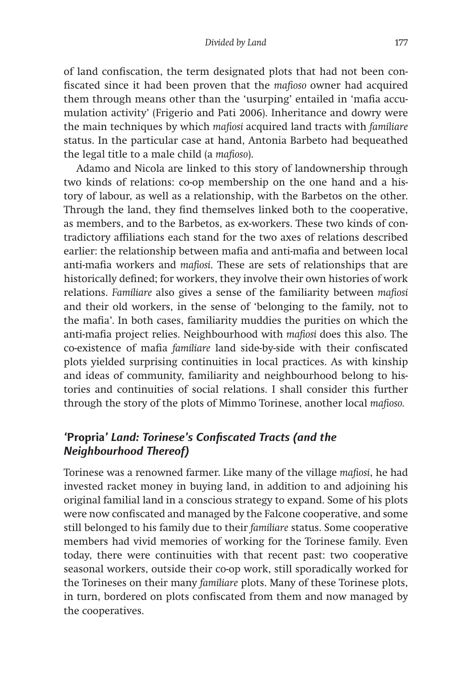of land confiscation, the term designated plots that had not been confiscated since it had been proven that the *mafioso* owner had acquired them through means other than the 'usurping' entailed in 'mafia accumulation activity' (Frigerio and Pati 2006). Inheritance and dowry were the main techniques by which *mafiosi* acquired land tracts with *familiare*  status. In the particular case at hand, Antonia Barbeto had bequeathed the legal title to a male child (a *mafioso*).

Adamo and Nicola are linked to this story of landownership through two kinds of relations: co-op membership on the one hand and a history of labour, as well as a relationship, with the Barbetos on the other. Through the land, they find themselves linked both to the cooperative, as members, and to the Barbetos, as ex-workers. These two kinds of contradictory affiliations each stand for the two axes of relations described earlier: the relationship between mafia and anti-mafia and between local anti-mafia workers and *mafiosi*. These are sets of relationships that are historically defined; for workers, they involve their own histories of work relations. *Familiare* also gives a sense of the familiarity between *mafiosi* and their old workers, in the sense of 'belonging to the family, not to the mafia'. In both cases, familiarity muddies the purities on which the anti-mafia project relies. Neighbourhood with *mafiosi* does this also. The co-existence of mafia *familiare* land side-by-side with their confiscated plots yielded surprising continuities in local practices. As with kinship and ideas of community, familiarity and neighbourhood belong to histories and continuities of social relations. I shall consider this further through the story of the plots of Mimmo Torinese, another local *mafioso.*

## *'***Propria***' Land: Torinese's Confiscated Tracts (and the Neighbourhood Thereof)*

Torinese was a renowned farmer. Like many of the village *mafiosi*, he had invested racket money in buying land, in addition to and adjoining his original familial land in a conscious strategy to expand. Some of his plots were now confiscated and managed by the Falcone cooperative, and some still belonged to his family due to their *familiare* status. Some cooperative members had vivid memories of working for the Torinese family. Even today, there were continuities with that recent past: two cooperative seasonal workers, outside their co-op work, still sporadically worked for the Torineses on their many *familiare* plots. Many of these Torinese plots, in turn, bordered on plots confiscated from them and now managed by the cooperatives.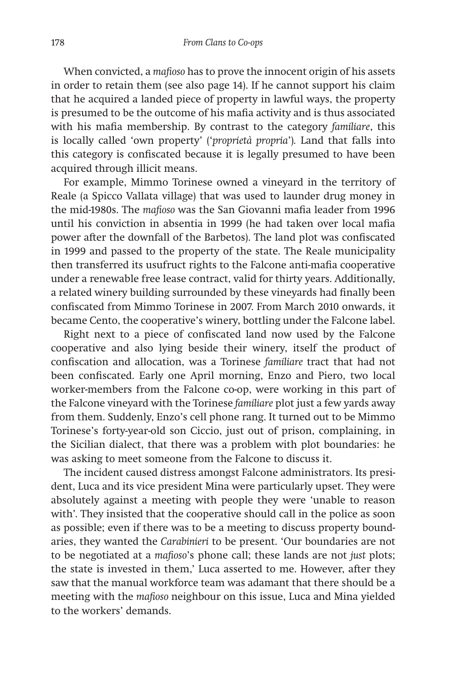When convicted, a *mafioso* has to prove the innocent origin of his assets in order to retain them (see also page 14). If he cannot support his claim that he acquired a landed piece of property in lawful ways, the property is presumed to be the outcome of his mafia activity and is thus associated with his mafia membership. By contrast to the category *familiare*, this is locally called 'own property' ('*proprietà propria*')*.* Land that falls into this category is confiscated because it is legally presumed to have been acquired through illicit means.

For example, Mimmo Torinese owned a vineyard in the territory of Reale (a Spicco Vallata village) that was used to launder drug money in the mid-1980s. The *mafioso* was the San Giovanni mafia leader from 1996 until his conviction in absentia in 1999 (he had taken over local mafia power after the downfall of the Barbetos). The land plot was confiscated in 1999 and passed to the property of the state. The Reale municipality then transferred its usufruct rights to the Falcone anti-mafia cooperative under a renewable free lease contract, valid for thirty years. Additionally, a related winery building surrounded by these vineyards had finally been confiscated from Mimmo Torinese in 2007. From March 2010 onwards, it became Cento, the cooperative's winery, bottling under the Falcone label.

Right next to a piece of confiscated land now used by the Falcone cooperative and also lying beside their winery, itself the product of confiscation and allocation, was a Torinese *familiare* tract that had not been confiscated. Early one April morning, Enzo and Piero, two local worker-members from the Falcone co-op, were working in this part of the Falcone vineyard with the Torinese *familiare* plot just a few yards away from them. Suddenly, Enzo's cell phone rang. It turned out to be Mimmo Torinese's forty-year-old son Ciccio, just out of prison, complaining, in the Sicilian dialect, that there was a problem with plot boundaries: he was asking to meet someone from the Falcone to discuss it.

The incident caused distress amongst Falcone administrators. Its president, Luca and its vice president Mina were particularly upset. They were absolutely against a meeting with people they were 'unable to reason with'. They insisted that the cooperative should call in the police as soon as possible; even if there was to be a meeting to discuss property boundaries, they wanted the *Carabinieri* to be present. 'Our boundaries are not to be negotiated at a *mafioso*'s phone call; these lands are not *just* plots; the state is invested in them,' Luca asserted to me. However, after they saw that the manual workforce team was adamant that there should be a meeting with the *mafioso* neighbour on this issue, Luca and Mina yielded to the workers' demands.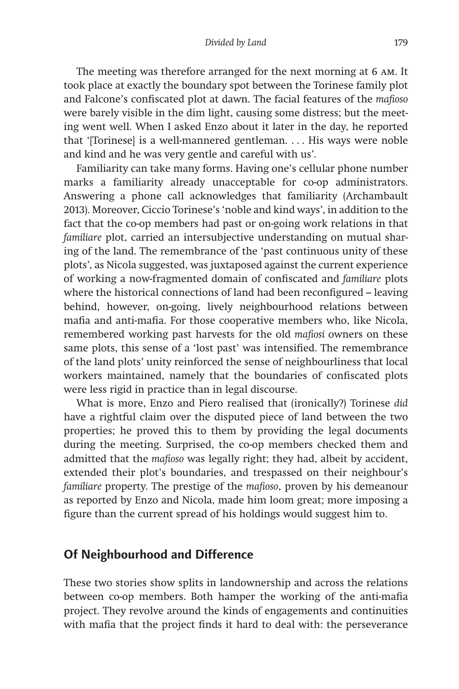The meeting was therefore arranged for the next morning at 6 am. It took place at exactly the boundary spot between the Torinese family plot and Falcone's confiscated plot at dawn. The facial features of the *mafioso*  were barely visible in the dim light, causing some distress; but the meeting went well. When I asked Enzo about it later in the day, he reported that '[Torinese] is a well-mannered gentleman. . . . His ways were noble and kind and he was very gentle and careful with us'.

Familiarity can take many forms. Having one's cellular phone number marks a familiarity already unacceptable for co-op administrators. Answering a phone call acknowledges that familiarity (Archambault 2013). Moreover, Ciccio Torinese's 'noble and kind ways', in addition to the fact that the co-op members had past or on-going work relations in that *familiare* plot, carried an intersubjective understanding on mutual sharing of the land. The remembrance of the 'past continuous unity of these plots', as Nicola suggested, was juxtaposed against the current experience of working a now-fragmented domain of confiscated and *familiare* plots where the historical connections of land had been reconfigured – leaving behind, however, on-going, lively neighbourhood relations between mafia and anti-mafia. For those cooperative members who, like Nicola, remembered working past harvests for the old *mafiosi* owners on these same plots, this sense of a 'lost past' was intensified. The remembrance of the land plots' unity reinforced the sense of neighbourliness that local workers maintained, namely that the boundaries of confiscated plots were less rigid in practice than in legal discourse.

What is more, Enzo and Piero realised that (ironically?) Torinese *did* have a rightful claim over the disputed piece of land between the two properties; he proved this to them by providing the legal documents during the meeting. Surprised, the co-op members checked them and admitted that the *mafioso* was legally right; they had, albeit by accident, extended their plot's boundaries, and trespassed on their neighbour's *familiare* property. The prestige of the *mafioso*, proven by his demeanour as reported by Enzo and Nicola, made him loom great; more imposing a figure than the current spread of his holdings would suggest him to.

## **Of Neighbourhood and Difference**

These two stories show splits in landownership and across the relations between co-op members. Both hamper the working of the anti-mafia project. They revolve around the kinds of engagements and continuities with mafia that the project finds it hard to deal with: the perseverance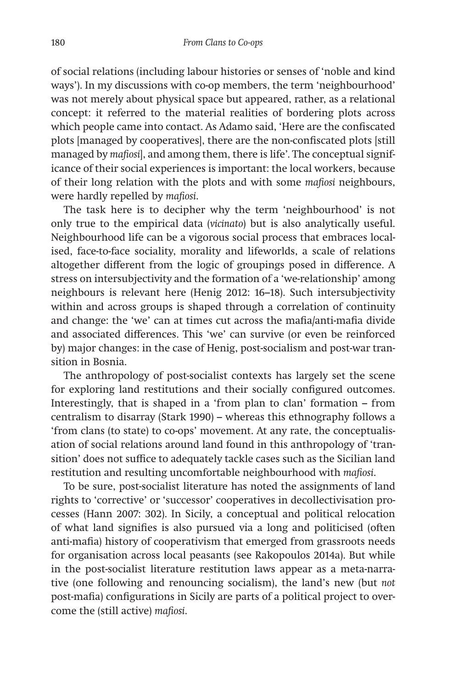of social relations (including labour histories or senses of 'noble and kind ways'). In my discussions with co-op members, the term 'neighbourhood' was not merely about physical space but appeared, rather, as a relational concept: it referred to the material realities of bordering plots across which people came into contact. As Adamo said, 'Here are the confiscated plots [managed by cooperatives], there are the non-confiscated plots [still managed by *mafiosi*], and among them, there is life'. The conceptual significance of their social experiences is important: the local workers, because of their long relation with the plots and with some *mafiosi* neighbours, were hardly repelled by *mafiosi*.

The task here is to decipher why the term 'neighbourhood' is not only true to the empirical data (*vicinato*) but is also analytically useful. Neighbourhood life can be a vigorous social process that embraces localised, face-to-face sociality, morality and lifeworlds, a scale of relations altogether different from the logic of groupings posed in difference. A stress on intersubjectivity and the formation of a 'we-relationship' among neighbours is relevant here (Henig 2012: 16–18). Such intersubjectivity within and across groups is shaped through a correlation of continuity and change: the 'we' can at times cut across the mafia/anti-mafia divide and associated differences. This 'we' can survive (or even be reinforced by) major changes: in the case of Henig, post-socialism and post-war transition in Bosnia.

The anthropology of post-socialist contexts has largely set the scene for exploring land restitutions and their socially configured outcomes. Interestingly, that is shaped in a 'from plan to clan' formation – from centralism to disarray (Stark 1990) – whereas this ethnography follows a 'from clans (to state) to co-ops' movement. At any rate, the conceptualisation of social relations around land found in this anthropology of 'transition' does not suffice to adequately tackle cases such as the Sicilian land restitution and resulting uncomfortable neighbourhood with *mafiosi*.

To be sure, post-socialist literature has noted the assignments of land rights to 'corrective' or 'successor' cooperatives in decollectivisation processes (Hann 2007: 302). In Sicily, a conceptual and political relocation of what land signifies is also pursued via a long and politicised (often anti-mafia) history of cooperativism that emerged from grassroots needs for organisation across local peasants (see Rakopoulos 2014a). But while in the post-socialist literature restitution laws appear as a meta-narrative (one following and renouncing socialism), the land's new (but *not* post-mafia) configurations in Sicily are parts of a political project to overcome the (still active) *mafiosi*.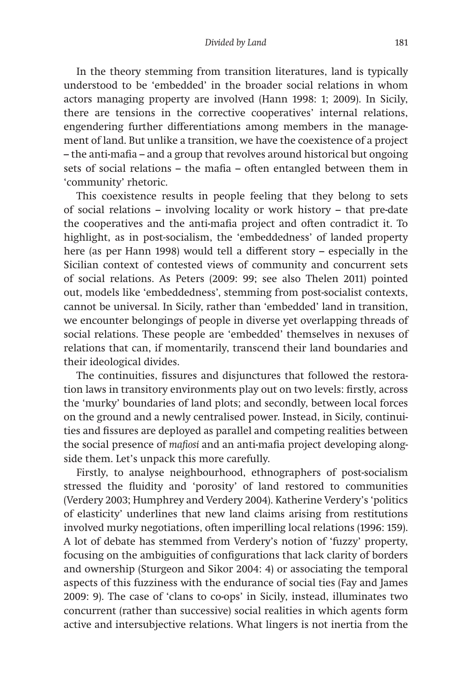*Divided by Land* 181

In the theory stemming from transition literatures, land is typically understood to be 'embedded' in the broader social relations in whom actors managing property are involved (Hann 1998: 1; 2009). In Sicily, there are tensions in the corrective cooperatives' internal relations, engendering further differentiations among members in the management of land. But unlike a transition, we have the coexistence of a project – the anti-mafia – and a group that revolves around historical but ongoing sets of social relations – the mafia – often entangled between them in 'community' rhetoric.

This coexistence results in people feeling that they belong to sets of social relations – involving locality or work history – that pre-date the cooperatives and the anti-mafia project and often contradict it. To highlight, as in post-socialism, the 'embeddedness' of landed property here (as per Hann 1998) would tell a different story – especially in the Sicilian context of contested views of community and concurrent sets of social relations. As Peters (2009: 99; see also Thelen 2011) pointed out, models like 'embeddedness', stemming from post-socialist contexts, cannot be universal. In Sicily, rather than 'embedded' land in transition, we encounter belongings of people in diverse yet overlapping threads of social relations. These people are 'embedded' themselves in nexuses of relations that can, if momentarily, transcend their land boundaries and their ideological divides.

The continuities, fissures and disjunctures that followed the restoration laws in transitory environments play out on two levels: firstly, across the 'murky' boundaries of land plots; and secondly, between local forces on the ground and a newly centralised power. Instead, in Sicily, continuities and fissures are deployed as parallel and competing realities between the social presence of *mafiosi* and an anti-mafia project developing alongside them. Let's unpack this more carefully.

Firstly, to analyse neighbourhood, ethnographers of post-socialism stressed the fluidity and 'porosity' of land restored to communities (Verdery 2003; Humphrey and Verdery 2004). Katherine Verdery's 'politics of elasticity' underlines that new land claims arising from restitutions involved murky negotiations, often imperilling local relations (1996: 159). A lot of debate has stemmed from Verdery's notion of 'fuzzy' property, focusing on the ambiguities of configurations that lack clarity of borders and ownership (Sturgeon and Sikor 2004: 4) or associating the temporal aspects of this fuzziness with the endurance of social ties (Fay and James 2009: 9). The case of 'clans to co-ops' in Sicily, instead, illuminates two concurrent (rather than successive) social realities in which agents form active and intersubjective relations. What lingers is not inertia from the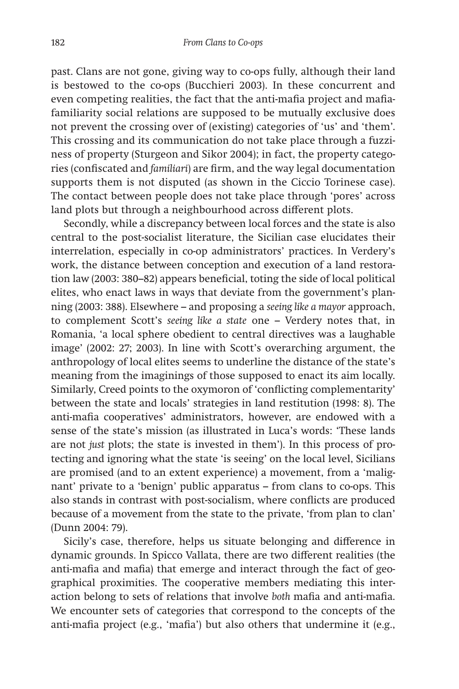past. Clans are not gone, giving way to co-ops fully, although their land is bestowed to the co-ops (Bucchieri 2003). In these concurrent and even competing realities, the fact that the anti-mafia project and mafiafamiliarity social relations are supposed to be mutually exclusive does not prevent the crossing over of (existing) categories of 'us' and 'them'. This crossing and its communication do not take place through a fuzziness of property (Sturgeon and Sikor 2004); in fact, the property categories (confiscated and *familiari*) are firm, and the way legal documentation supports them is not disputed (as shown in the Ciccio Torinese case). The contact between people does not take place through 'pores' across land plots but through a neighbourhood across different plots.

Secondly, while a discrepancy between local forces and the state is also central to the post-socialist literature, the Sicilian case elucidates their interrelation, especially in co-op administrators' practices. In Verdery's work, the distance between conception and execution of a land restoration law (2003: 380–82) appears beneficial, toting the side of local political elites, who enact laws in ways that deviate from the government's planning (2003: 388). Elsewhere – and proposing a *seeing like a mayor* approach, to complement Scott's *seeing like a state* one – Verdery notes that, in Romania, 'a local sphere obedient to central directives was a laughable image' (2002: 27; 2003). In line with Scott's overarching argument, the anthropology of local elites seems to underline the distance of the state's meaning from the imaginings of those supposed to enact its aim locally. Similarly, Creed points to the oxymoron of 'conflicting complementarity' between the state and locals' strategies in land restitution (1998: 8). The anti-mafia cooperatives' administrators, however, are endowed with a sense of the state's mission (as illustrated in Luca's words: 'These lands are not *just* plots; the state is invested in them'). In this process of protecting and ignoring what the state 'is seeing' on the local level, Sicilians are promised (and to an extent experience) a movement, from a 'malignant' private to a 'benign' public apparatus – from clans to co-ops. This also stands in contrast with post-socialism, where conflicts are produced because of a movement from the state to the private, 'from plan to clan' (Dunn 2004: 79).

Sicily's case, therefore, helps us situate belonging and difference in dynamic grounds. In Spicco Vallata, there are two different realities (the anti-mafia and mafia) that emerge and interact through the fact of geographical proximities. The cooperative members mediating this interaction belong to sets of relations that involve *both* mafia and anti-mafia. We encounter sets of categories that correspond to the concepts of the anti-mafia project (e.g., 'mafia') but also others that undermine it (e.g.,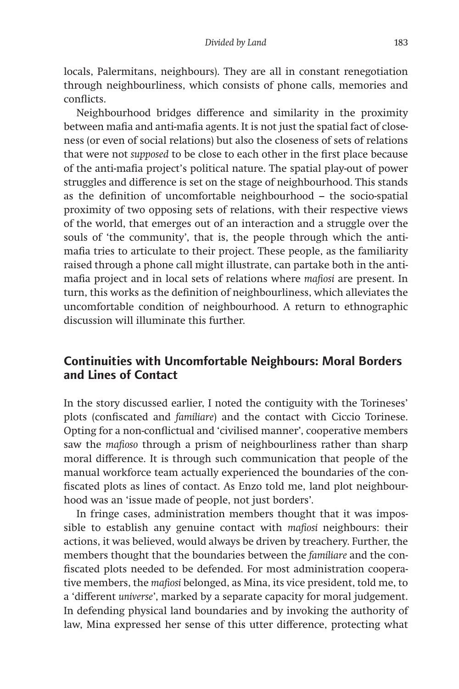locals, Palermitans, neighbours). They are all in constant renegotiation through neighbourliness, which consists of phone calls, memories and conflicts.

Neighbourhood bridges difference and similarity in the proximity between mafia and anti-mafia agents. It is not just the spatial fact of closeness (or even of social relations) but also the closeness of sets of relations that were not *supposed* to be close to each other in the first place because of the anti-mafia project's political nature. The spatial play-out of power struggles and difference is set on the stage of neighbourhood. This stands as the definition of uncomfortable neighbourhood – the socio-spatial proximity of two opposing sets of relations, with their respective views of the world, that emerges out of an interaction and a struggle over the souls of 'the community', that is, the people through which the antimafia tries to articulate to their project. These people, as the familiarity raised through a phone call might illustrate, can partake both in the antimafia project and in local sets of relations where *mafiosi* are present. In turn, this works as the definition of neighbourliness, which alleviates the uncomfortable condition of neighbourhood. A return to ethnographic discussion will illuminate this further.

## **Continuities with Uncomfortable Neighbours: Moral Borders and Lines of Contact**

In the story discussed earlier, I noted the contiguity with the Torineses' plots (confiscated and *familiare*) and the contact with Ciccio Torinese. Opting for a non-conflictual and 'civilised manner', cooperative members saw the *mafioso* through a prism of neighbourliness rather than sharp moral difference. It is through such communication that people of the manual workforce team actually experienced the boundaries of the confiscated plots as lines of contact. As Enzo told me, land plot neighbourhood was an 'issue made of people, not just borders'.

In fringe cases, administration members thought that it was impossible to establish any genuine contact with *mafiosi* neighbours: their actions, it was believed, would always be driven by treachery. Further, the members thought that the boundaries between the *familiare* and the confiscated plots needed to be defended. For most administration cooperative members, the *mafiosi* belonged, as Mina, its vice president, told me, to a 'different *universe*', marked by a separate capacity for moral judgement. In defending physical land boundaries and by invoking the authority of law, Mina expressed her sense of this utter difference, protecting what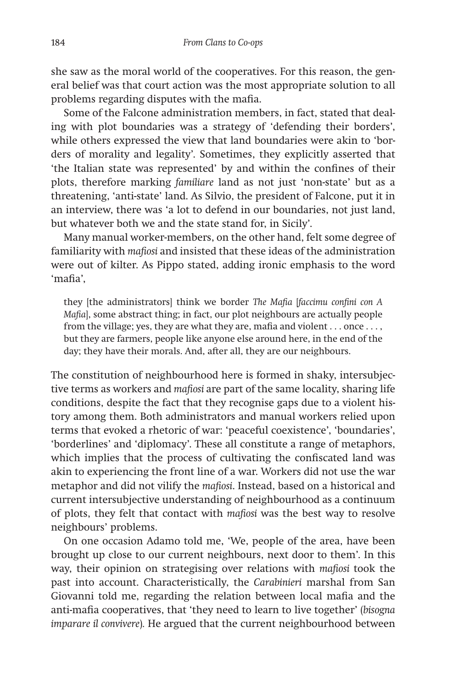she saw as the moral world of the cooperatives. For this reason, the general belief was that court action was the most appropriate solution to all problems regarding disputes with the mafia.

Some of the Falcone administration members, in fact, stated that dealing with plot boundaries was a strategy of 'defending their borders', while others expressed the view that land boundaries were akin to 'borders of morality and legality'. Sometimes, they explicitly asserted that 'the Italian state was represented' by and within the confines of their plots, therefore marking *familiare* land as not just 'non-state' but as a threatening, 'anti-state' land. As Silvio, the president of Falcone, put it in an interview, there was 'a lot to defend in our boundaries, not just land, but whatever both we and the state stand for, in Sicily'.

Many manual worker-members, on the other hand, felt some degree of familiarity with *mafiosi* and insisted that these ideas of the administration were out of kilter. As Pippo stated, adding ironic emphasis to the word 'mafia',

they [the administrators] think we border *The Mafia* [*faccimu confini con A Mafia*], some abstract thing; in fact, our plot neighbours are actually people from the village; yes, they are what they are, mafia and violent . . . once . . . , but they are farmers, people like anyone else around here, in the end of the day; they have their morals. And, after all, they are our neighbours.

The constitution of neighbourhood here is formed in shaky, intersubjective terms as workers and *mafiosi* are part of the same locality, sharing life conditions, despite the fact that they recognise gaps due to a violent history among them. Both administrators and manual workers relied upon terms that evoked a rhetoric of war: 'peaceful coexistence', 'boundaries', 'borderlines' and 'diplomacy'. These all constitute a range of metaphors, which implies that the process of cultivating the confiscated land was akin to experiencing the front line of a war. Workers did not use the war metaphor and did not vilify the *mafiosi*. Instead, based on a historical and current intersubjective understanding of neighbourhood as a continuum of plots, they felt that contact with *mafiosi* was the best way to resolve neighbours' problems.

On one occasion Adamo told me, 'We, people of the area, have been brought up close to our current neighbours, next door to them'. In this way, their opinion on strategising over relations with *mafiosi* took the past into account. Characteristically, the *Carabinieri* marshal from San Giovanni told me, regarding the relation between local mafia and the anti-mafia cooperatives, that 'they need to learn to live together' (*bisogna imparare il convivere*)*.* He argued that the current neighbourhood between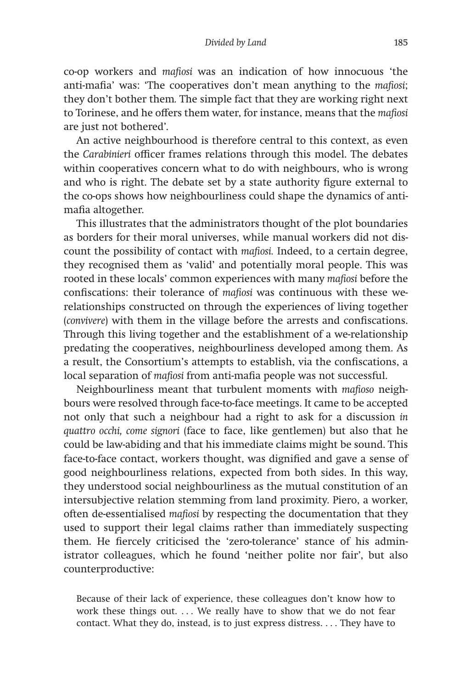co-op workers and *mafiosi* was an indication of how innocuous 'the anti-mafia' was: 'The cooperatives don't mean anything to the *mafiosi*; they don't bother them*.* The simple fact that they are working right next to Torinese, and he offers them water, for instance, means that the *mafiosi*  are just not bothered'.

An active neighbourhood is therefore central to this context, as even the *Carabinieri* officer frames relations through this model. The debates within cooperatives concern what to do with neighbours, who is wrong and who is right. The debate set by a state authority figure external to the co-ops shows how neighbourliness could shape the dynamics of antimafia altogether.

This illustrates that the administrators thought of the plot boundaries as borders for their moral universes, while manual workers did not discount the possibility of contact with *mafiosi.* Indeed, to a certain degree, they recognised them as 'valid' and potentially moral people. This was rooted in these locals' common experiences with many *mafiosi* before the confiscations: their tolerance of *mafiosi* was continuous with these werelationships constructed on through the experiences of living together (*convivere*) with them in the village before the arrests and confiscations. Through this living together and the establishment of a we-relationship predating the cooperatives, neighbourliness developed among them. As a result, the Consortium's attempts to establish, via the confiscations, a local separation of *mafiosi* from anti-mafia people was not successful.

Neighbourliness meant that turbulent moments with *mafioso* neighbours were resolved through face-to-face meetings. It came to be accepted not only that such a neighbour had a right to ask for a discussion *in quattro occhi, come signori* (face to face, like gentlemen) but also that he could be law-abiding and that his immediate claims might be sound. This face-to-face contact, workers thought, was dignified and gave a sense of good neighbourliness relations, expected from both sides. In this way, they understood social neighbourliness as the mutual constitution of an intersubjective relation stemming from land proximity. Piero, a worker, often de-essentialised *mafiosi* by respecting the documentation that they used to support their legal claims rather than immediately suspecting them. He fiercely criticised the 'zero-tolerance' stance of his administrator colleagues, which he found 'neither polite nor fair', but also counterproductive:

Because of their lack of experience, these colleagues don't know how to work these things out.  $\dots$  We really have to show that we do not fear contact. What they do, instead, is to just express distress. . . . They have to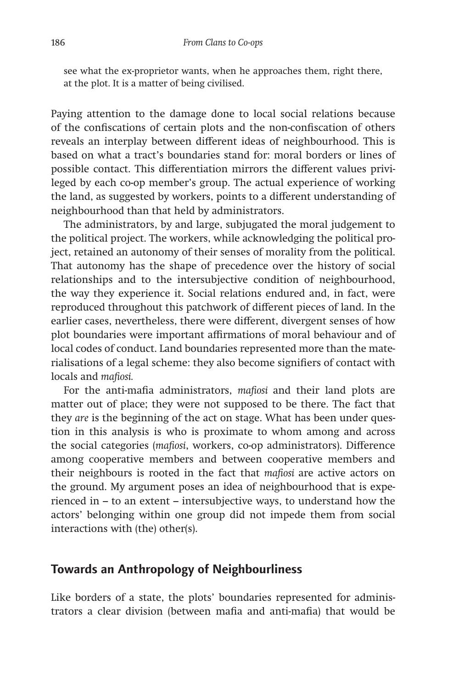see what the ex-proprietor wants, when he approaches them, right there, at the plot. It is a matter of being civilised.

Paying attention to the damage done to local social relations because of the confiscations of certain plots and the non-confiscation of others reveals an interplay between different ideas of neighbourhood. This is based on what a tract's boundaries stand for: moral borders or lines of possible contact. This differentiation mirrors the different values privileged by each co-op member's group. The actual experience of working the land, as suggested by workers, points to a different understanding of neighbourhood than that held by administrators.

The administrators, by and large, subjugated the moral judgement to the political project. The workers, while acknowledging the political project, retained an autonomy of their senses of morality from the political. That autonomy has the shape of precedence over the history of social relationships and to the intersubjective condition of neighbourhood, the way they experience it. Social relations endured and, in fact, were reproduced throughout this patchwork of different pieces of land. In the earlier cases, nevertheless, there were different, divergent senses of how plot boundaries were important affirmations of moral behaviour and of local codes of conduct. Land boundaries represented more than the materialisations of a legal scheme: they also become signifiers of contact with locals and *mafiosi.*

For the anti-mafia administrators, *mafiosi* and their land plots are matter out of place; they were not supposed to be there. The fact that they *are* is the beginning of the act on stage. What has been under question in this analysis is who is proximate to whom among and across the social categories (*mafiosi*, workers, co-op administrators). Difference among cooperative members and between cooperative members and their neighbours is rooted in the fact that *mafiosi* are active actors on the ground. My argument poses an idea of neighbourhood that is experienced in – to an extent – intersubjective ways, to understand how the actors' belonging within one group did not impede them from social interactions with (the) other(s).

## **Towards an Anthropology of Neighbourliness**

Like borders of a state, the plots' boundaries represented for administrators a clear division (between mafia and anti-mafia) that would be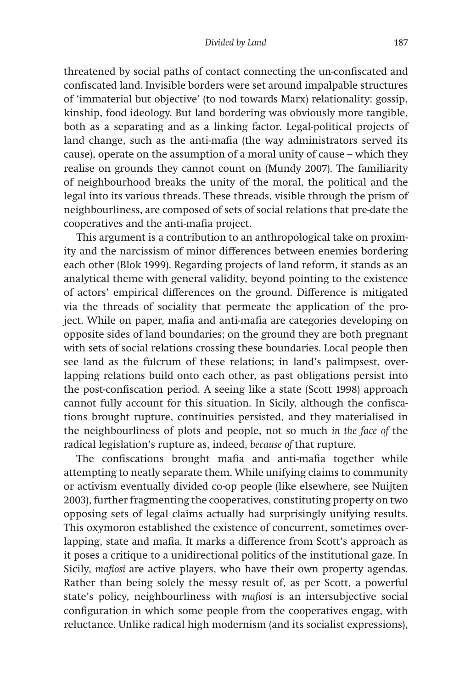threatened by social paths of contact connecting the un-confiscated and confiscated land. Invisible borders were set around impalpable structures of 'immaterial but objective' (to nod towards Marx) relationality: gossip, kinship, food ideology. But land bordering was obviously more tangible, both as a separating and as a linking factor. Legal-political projects of land change, such as the anti-mafia (the way administrators served its cause), operate on the assumption of a moral unity of cause – which they realise on grounds they cannot count on (Mundy 2007). The familiarity of neighbourhood breaks the unity of the moral, the political and the legal into its various threads. These threads, visible through the prism of neighbourliness, are composed of sets of social relations that pre-date the cooperatives and the anti-mafia project.

This argument is a contribution to an anthropological take on proximity and the narcissism of minor differences between enemies bordering each other (Blok 1999). Regarding projects of land reform, it stands as an analytical theme with general validity, beyond pointing to the existence of actors' empirical differences on the ground. Difference is mitigated via the threads of sociality that permeate the application of the project. While on paper, mafia and anti-mafia are categories developing on opposite sides of land boundaries; on the ground they are both pregnant with sets of social relations crossing these boundaries. Local people then see land as the fulcrum of these relations; in land's palimpsest, overlapping relations build onto each other, as past obligations persist into the post-confiscation period. A seeing like a state (Scott 1998) approach cannot fully account for this situation. In Sicily, although the confiscations brought rupture, continuities persisted, and they materialised in the neighbourliness of plots and people, not so much *in the face of* the radical legislation's rupture as, indeed, *because of* that rupture.

The confiscations brought mafia and anti-mafia together while attempting to neatly separate them. While unifying claims to community or activism eventually divided co-op people (like elsewhere, see Nuijten 2003), further fragmenting the cooperatives, constituting property on two opposing sets of legal claims actually had surprisingly unifying results. This oxymoron established the existence of concurrent, sometimes overlapping, state and mafia. It marks a difference from Scott's approach as it poses a critique to a unidirectional politics of the institutional gaze. In Sicily, *mafiosi* are active players, who have their own property agendas. Rather than being solely the messy result of, as per Scott, a powerful state's policy, neighbourliness with *mafiosi* is an intersubjective social configuration in which some people from the cooperatives engag, with reluctance. Unlike radical high modernism (and its socialist expressions),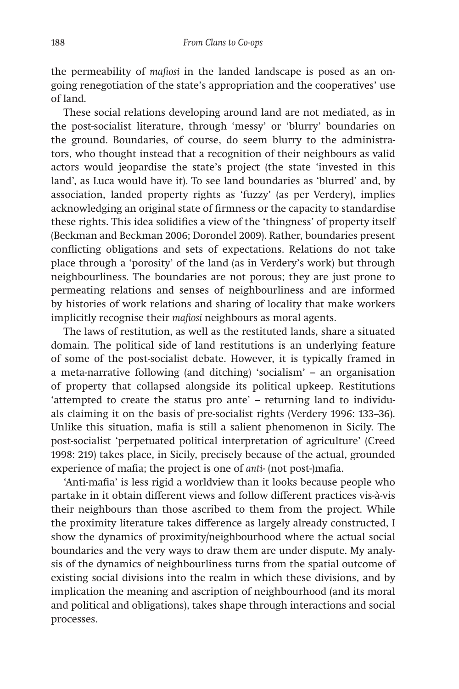the permeability of *mafiosi* in the landed landscape is posed as an ongoing renegotiation of the state's appropriation and the cooperatives' use of land.

These social relations developing around land are not mediated, as in the post-socialist literature, through 'messy' or 'blurry' boundaries on the ground. Boundaries, of course, do seem blurry to the administrators, who thought instead that a recognition of their neighbours as valid actors would jeopardise the state's project (the state 'invested in this land', as Luca would have it). To see land boundaries as 'blurred' and, by association, landed property rights as 'fuzzy' (as per Verdery), implies acknowledging an original state of firmness or the capacity to standardise these rights. This idea solidifies a view of the 'thingness' of property itself (Beckman and Beckman 2006; Dorondel 2009). Rather, boundaries present conflicting obligations and sets of expectations. Relations do not take place through a 'porosity' of the land (as in Verdery's work) but through neighbourliness. The boundaries are not porous; they are just prone to permeating relations and senses of neighbourliness and are informed by histories of work relations and sharing of locality that make workers implicitly recognise their *mafiosi* neighbours as moral agents.

The laws of restitution, as well as the restituted lands, share a situated domain. The political side of land restitutions is an underlying feature of some of the post-socialist debate. However, it is typically framed in a meta-narrative following (and ditching) 'socialism' – an organisation of property that collapsed alongside its political upkeep. Restitutions 'attempted to create the status pro ante' – returning land to individuals claiming it on the basis of pre-socialist rights (Verdery 1996: 133–36). Unlike this situation, mafia is still a salient phenomenon in Sicily. The post-socialist 'perpetuated political interpretation of agriculture' (Creed 1998: 219) takes place, in Sicily, precisely because of the actual, grounded experience of mafia; the project is one of *anti*- (not post-)mafia.

'Anti-mafia' is less rigid a worldview than it looks because people who partake in it obtain different views and follow different practices vis-à-vis their neighbours than those ascribed to them from the project. While the proximity literature takes difference as largely already constructed, I show the dynamics of proximity/neighbourhood where the actual social boundaries and the very ways to draw them are under dispute. My analysis of the dynamics of neighbourliness turns from the spatial outcome of existing social divisions into the realm in which these divisions, and by implication the meaning and ascription of neighbourhood (and its moral and political and obligations), takes shape through interactions and social processes.